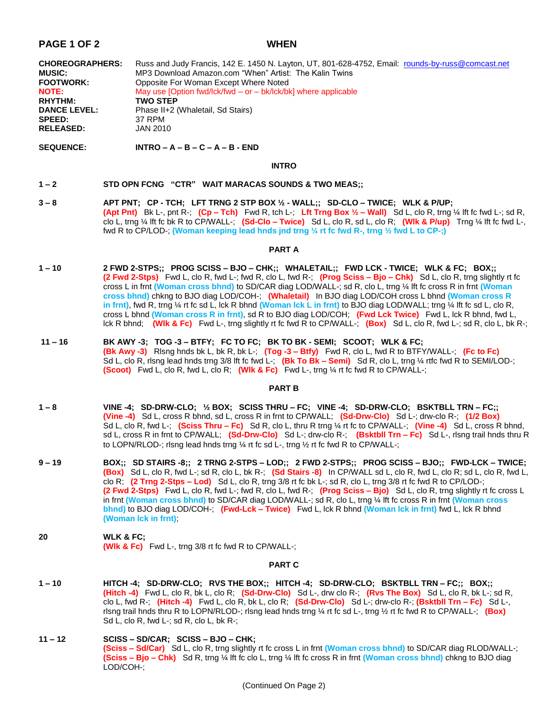# **PAGE 1 OF 2 WHEN**

| <b>CHOREOGRAPHERS:</b> | Russ and Judy Francis, 142 E. 1450 N. Layton, UT, 801-628-4752, Email: rounds-by-russ@comcast.net |
|------------------------|---------------------------------------------------------------------------------------------------|
| <b>MUSIC:</b>          | MP3 Download Amazon.com "When" Artist: The Kalin Twins                                            |
| <b>FOOTWORK:</b>       | Opposite For Woman Except Where Noted                                                             |
| <b>NOTE:</b>           | May use [Option fwd/lck/fwd – or – bk/lck/bk] where applicable                                    |
| <b>RHYTHM:</b>         | <b>TWO STEP</b>                                                                                   |
| <b>DANCE LEVEL:</b>    | Phase II+2 (Whaletail, Sd Stairs)                                                                 |
| SPEED:                 | 37 RPM                                                                                            |
| <b>RELEASED:</b>       | JAN 2010                                                                                          |

**SEQUENCE: INTRO – A – B – C – A – B - END**

## **INTRO**

## **1 – 2 STD OPN FCNG "CTR" WAIT MARACAS SOUNDS & TWO MEAS;;**

**3 – 8 APT PNT; CP - TCH; LFT TRNG 2 STP BOX ½ - WALL;; SD-CLO – TWICE; WLK & P/UP; (Apt Pnt)** Bk L-, pnt R-; **(Cp – Tch)** Fwd R, tch L-; **Lft Trng Box ½ – Wall)** Sd L, clo R, trng ¼ lft fc fwd L-; sd R, clo L, trng ¼ lft fc bk R to CP/WALL-; **(Sd-Clo – Twice)** Sd L, clo R, sd L, clo R; **(Wlk & P/up)** Trng ¼ lft fc fwd L-, fwd R to CP/LOD-; **(Woman keeping lead hnds jnd trng ¼ rt fc fwd R-, trng ½ fwd L to CP-;)**

#### **PART A**

- **1 – 10 2 FWD 2-STPS;; PROG SCISS – BJO – CHK;; WHALETAIL;; FWD LCK - TWICE; WLK & FC; BOX;; (2 Fwd 2-Stps)** Fwd L, clo R, fwd L-; fwd R, clo L, fwd R-; **(Prog Sciss – Bjo – Chk)** Sd L, clo R, trng slightly rt fc cross L in frnt **(Woman cross bhnd)** to SD/CAR diag LOD/WALL-; sd R, clo L, trng ¼ lft fc cross R in frnt **(Woman cross bhnd)** chkng to BJO diag LOD/COH-; **(Whaletail)** In BJO diag LOD/COH cross L bhnd **(Woman cross R in frnt)**, fwd R, trng ¼ rt fc sd L, lck R bhnd **(Woman lck L in frnt)** to BJO diag LOD/WALL; trng ¼ lft fc sd L, clo R, cross L bhnd **(Woman cross R in frnt)**, sd R to BJO diag LOD/COH; **(Fwd Lck Twice)** Fwd L, lck R bhnd, fwd L, lck R bhnd; **(Wlk & Fc)** Fwd L-, trng slightly rt fc fwd R to CP/WALL-; **(Box)** Sd L, clo R, fwd L-; sd R, clo L, bk R-;
- **11 – 16 BK AWY -3; TOG -3 – BTFY; FC TO FC; BK TO BK - SEMI; SCOOT; WLK & FC; (Bk Awy -3)** Rlsng hnds bk L, bk R, bk L-; **(Tog -3 – Btfy)** Fwd R, clo L, fwd R to BTFY/WALL-; **(Fc to Fc)**  Sd L, clo R, rlsng lead hnds trng 3/8 lft fc fwd L-; **(Bk To Bk – Semi)** Sd R, clo L, trng ¼ rtfc fwd R to SEMI/LOD-; **(Scoot)** Fwd L, clo R, fwd L, clo R; **(Wlk & Fc)** Fwd L-, trng ¼ rt fc fwd R to CP/WALL-;

#### **PART B**

- **1 – 8 VINE -4; SD-DRW-CLO; ½ BOX; SCISS THRU – FC; VINE -4; SD-DRW-CLO; BSKTBLL TRN – FC;; (Vine -4)** Sd L, cross R bhnd, sd L, cross R in frnt to CP/WALL; **(Sd-Drw-Clo)** Sd L-; drw-clo R-; **(1/2 Box)**  Sd L, clo R, fwd L-; **(Sciss Thru – Fc)** Sd R, clo L, thru R trng ¼ rt fc to CP/WALL-; **(Vine -4)** Sd L, cross R bhnd, sd L, cross R in frnt to CP/WALL; **(Sd-Drw-Clo)** Sd L-; drw-clo R-; **(Bsktbll Trn – Fc)** Sd L-, rlsng trail hnds thru R to LOPN/RLOD-; rlsng lead hnds trng ¼ rt fc sd L-, trng ½ rt fc fwd R to CP/WALL-;
- **9 – 19 BOX;; SD STAIRS -8;; 2 TRNG 2-STPS – LOD;; 2 FWD 2-STPS;; PROG SCISS – BJO;; FWD-LCK – TWICE; (Box)** Sd L, clo R, fwd L-; sd R, clo L, bk R-; **(Sd Stairs -8)** In CP/WALL sd L, clo R, fwd L, clo R; sd L, clo R, fwd L, clo R; **(2 Trng 2-Stps – Lod)** Sd L, clo R, trng 3/8 rt fc bk L-; sd R, clo L, trng 3/8 rt fc fwd R to CP/LOD-; **(2 Fwd 2-Stps)** Fwd L, clo R, fwd L-; fwd R, clo L, fwd R-; **(Prog Sciss – Bjo)** Sd L, clo R, trng slightly rt fc cross L in frnt **(Woman cross bhnd)** to SD/CAR diag LOD/WALL-; sd R, clo L, trng ¼ lft fc cross R in frnt **(Woman cross bhnd)** to BJO diag LOD/COH-; **(Fwd-Lck – Twice)** Fwd L, lck R bhnd **(Woman lck in frnt)** fwd L, lck R bhnd **(Woman lck in frnt)**;

# **20 WLK & FC; (Wlk & Fc)** Fwd L-, trng 3/8 rt fc fwd R to CP/WALL-;

# **PART C**

**1 – 10 HITCH -4; SD-DRW-CLO; RVS THE BOX;; HITCH -4; SD-DRW-CLO; BSKTBLL TRN – FC;; BOX;; (Hitch -4)** Fwd L, clo R, bk L, clo R; **(Sd-Drw-Clo)** Sd L-, drw clo R-; **(Rvs The Box)** Sd L, clo R, bk L-; sd R, clo L, fwd R-; **(Hitch -4)** Fwd L, clo R, bk L, clo R; **(Sd-Drw-Clo)** Sd L-; drw-clo R-; **(Bsktbll Trn – Fc)** Sd L-, rlsng trail hnds thru R to LOPN/RLOD-; rlsng lead hnds trng ¼ rt fc sd L-, trng ½ rt fc fwd R to CP/WALL-; **(Box)**  Sd L, clo R, fwd L-; sd R, clo L, bk R-;

# **11 – 12 SCISS – SD/CAR; SCISS – BJO – CHK;**

**(Sciss – Sd/Car)** Sd L, clo R, trng slightly rt fc cross L in frnt **(Woman cross bhnd)** to SD/CAR diag RLOD/WALL-; **(Sciss – Bjo – Chk)** Sd R, trng ¼ lft fc clo L, trng ¼ lft fc cross R in frnt **(Woman cross bhnd)** chkng to BJO diag LOD/COH-;